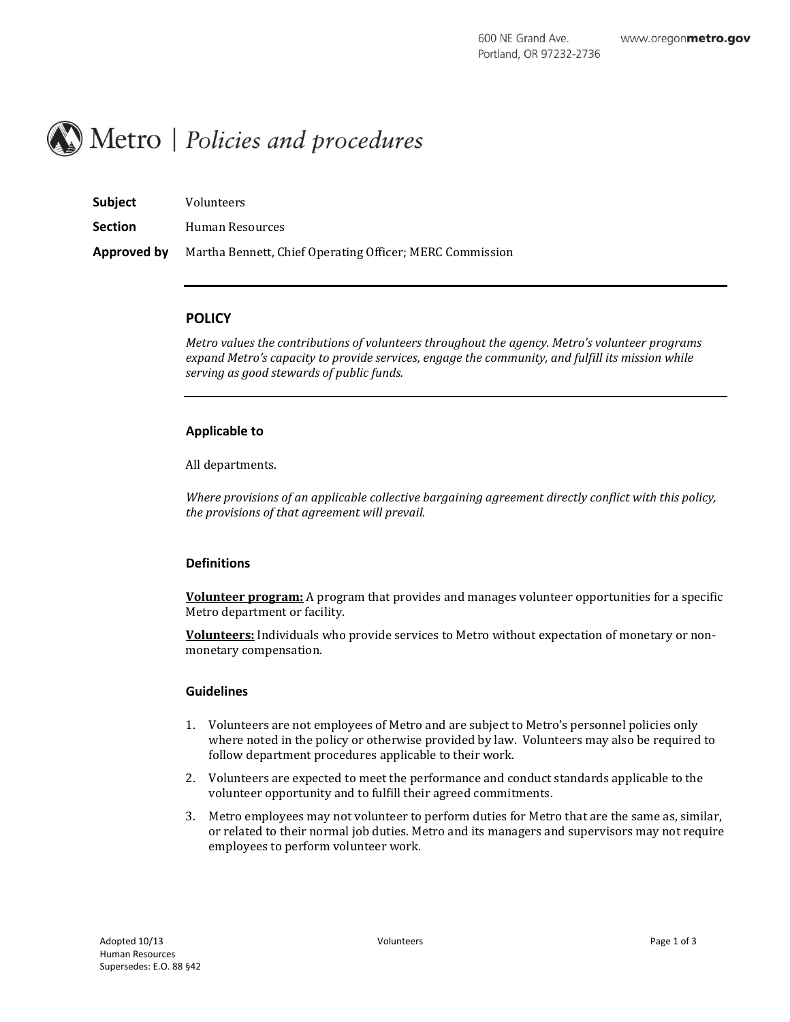# Metro | Policies and procedures

| Subject        | Volunteers                                               |
|----------------|----------------------------------------------------------|
| <b>Section</b> | Human Resources                                          |
| Approved by    | Martha Bennett, Chief Operating Officer; MERC Commission |

# **POLICY**

*Metro values the contributions of volunteers throughout the agency. Metro's volunteer programs expand Metro's capacity to provide services, engage the community, and fulfill its mission while serving as good stewards of public funds.*

# **Applicable to**

All departments.

*Where provisions of an applicable collective bargaining agreement directly conflict with this policy, the provisions of that agreement will prevail.*

# **Definitions**

**Volunteer program:** A program that provides and manages volunteer opportunities for a specific Metro department or facility.

**Volunteers:** Individuals who provide services to Metro without expectation of monetary or nonmonetary compensation.

# **Guidelines**

- 1. Volunteers are not employees of Metro and are subject to Metro's personnel policies only where noted in the policy or otherwise provided by law. Volunteers may also be required to follow department procedures applicable to their work.
- 2. Volunteers are expected to meet the performance and conduct standards applicable to the volunteer opportunity and to fulfill their agreed commitments.
- 3. Metro employees may not volunteer to perform duties for Metro that are the same as, similar, or related to their normal job duties. Metro and its managers and supervisors may not require employees to perform volunteer work.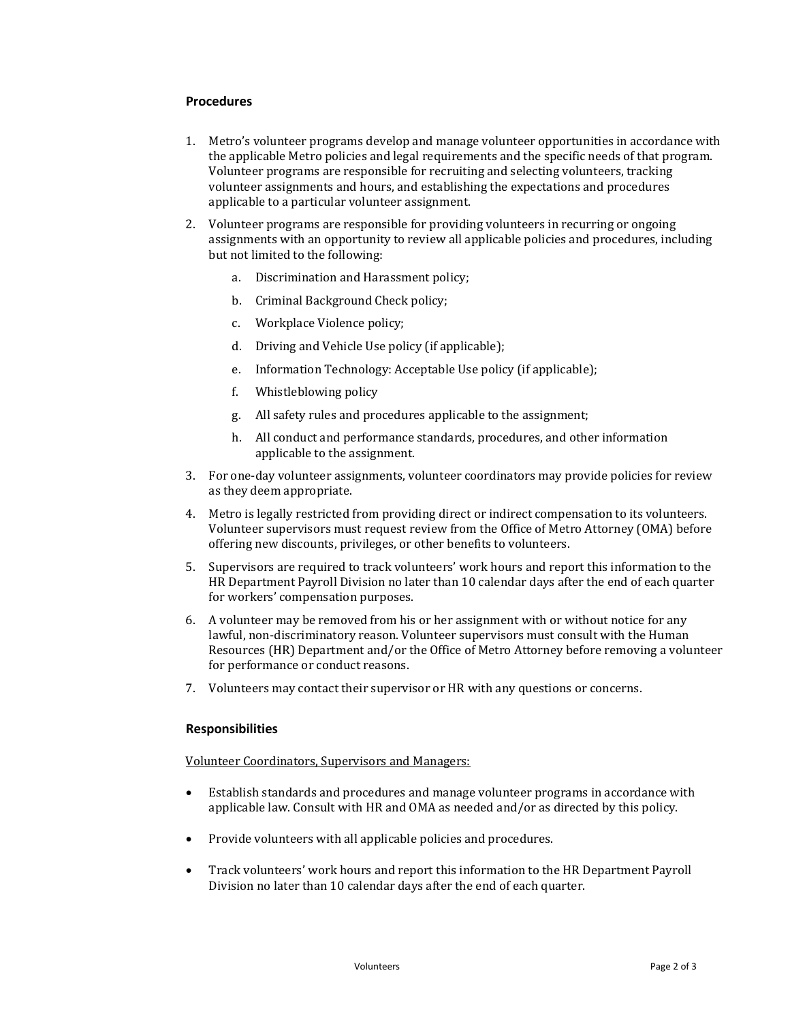# **Procedures**

- 1. Metro's volunteer programs develop and manage volunteer opportunities in accordance with the applicable Metro policies and legal requirements and the specific needs of that program. Volunteer programs are responsible for recruiting and selecting volunteers, tracking volunteer assignments and hours, and establishing the expectations and procedures applicable to a particular volunteer assignment.
- 2. Volunteer programs are responsible for providing volunteers in recurring or ongoing assignments with an opportunity to review all applicable policies and procedures, including but not limited to the following:
	- a. Discrimination and Harassment policy;
	- b. Criminal Background Check policy;
	- c. Workplace Violence policy;
	- d. Driving and Vehicle Use policy (if applicable);
	- e. Information Technology: Acceptable Use policy (if applicable);
	- f. Whistleblowing policy
	- g. All safety rules and procedures applicable to the assignment;
	- h. All conduct and performance standards, procedures, and other information applicable to the assignment.
- 3. For one-day volunteer assignments, volunteer coordinators may provide policies for review as they deem appropriate.
- 4. Metro is legally restricted from providing direct or indirect compensation to its volunteers. Volunteer supervisors must request review from the Office of Metro Attorney (OMA) before offering new discounts, privileges, or other benefits to volunteers.
- 5. Supervisors are required to track volunteers' work hours and report this information to the HR Department Payroll Division no later than 10 calendar days after the end of each quarter for workers' compensation purposes.
- 6. A volunteer may be removed from his or her assignment with or without notice for any lawful, non-discriminatory reason. Volunteer supervisors must consult with the Human Resources (HR) Department and/or the Office of Metro Attorney before removing a volunteer for performance or conduct reasons.
- 7. Volunteers may contact their supervisor or HR with any questions or concerns.

# **Responsibilities**

Volunteer Coordinators, Supervisors and Managers:

- Establish standards and procedures and manage volunteer programs in accordance with applicable law. Consult with HR and OMA as needed and/or as directed by this policy.
- Provide volunteers with all applicable policies and procedures.
- Track volunteers' work hours and report this information to the HR Department Payroll Division no later than 10 calendar days after the end of each quarter.